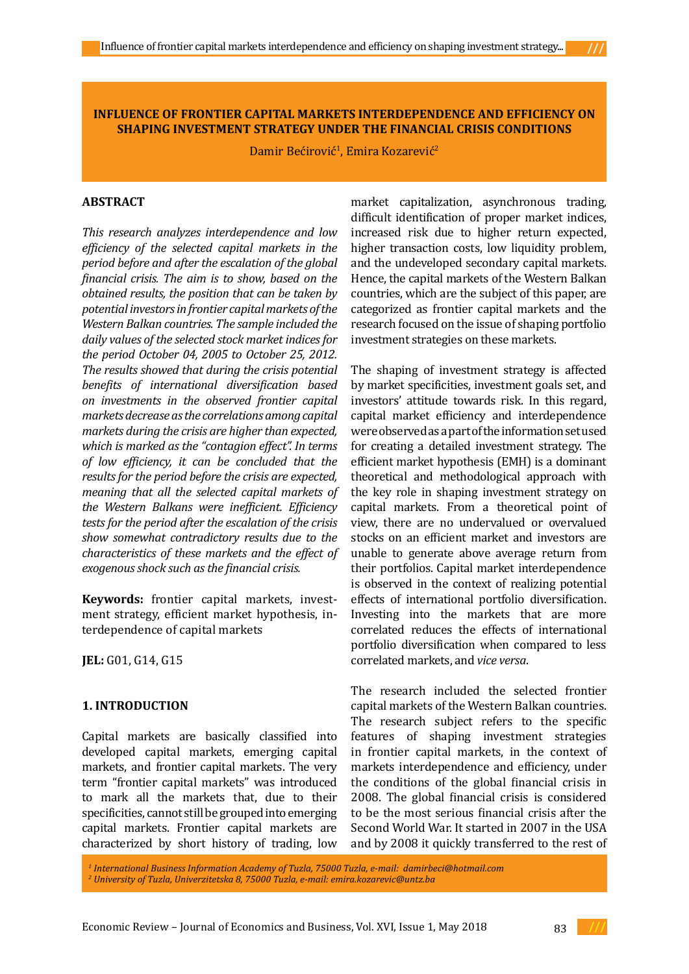#### **INFLUENCE OF FRONTIER CAPITAL MARKETS INTERDEPENDENCE AND EFFICIENCY ON SHAPING INVESTMENT STRATEGY UNDER THE FINANCIAL CRISIS CONDITIONS**

Damir Bećirović<sup>1</sup>, Emira Kozarević<sup>2</sup>

### **ABSTRACT**

*This research analyzes interdependence and low efficiency of the selected capital markets in the period before and after the escalation of the global financial crisis. The aim is to show, based on the obtained results, the position that can be taken by potential investors in frontier capital markets of the Western Balkan countries. The sample included the daily values of the selected stock market indices for the period October 04, 2005 to October 25, 2012. The results showed that during the crisis potential benefits of international diversification based on investments in the observed frontier capital markets decrease as the correlations among capital markets during the crisis are higher than expected, which is marked as the "contagion effect". In terms of low efficiency, it can be concluded that the results for the period before the crisis are expected, meaning that all the selected capital markets of the Western Balkans were inefficient. Efficiency tests for the period after the escalation of the crisis show somewhat contradictory results due to the characteristics of these markets and the effect of exogenous shock such as the financial crisis.* 

**Keywords:** frontier capital markets, investment strategy, efficient market hypothesis, interdependence of capital markets

**JEL:** G01, G14, G15

#### **1. INTRODUCTION**

Capital markets are basically classified into developed capital markets, emerging capital markets, and frontier capital markets. The very term "frontier capital markets" was introduced to mark all the markets that, due to their specificities, cannot still be grouped into emerging capital markets. Frontier capital markets are characterized by short history of trading, low

market capitalization, asynchronous trading, difficult identification of proper market indices, increased risk due to higher return expected, higher transaction costs, low liquidity problem, and the undeveloped secondary capital markets. Hence, the capital markets of the Western Balkan countries, which are the subject of this paper, are categorized as frontier capital markets and the research focused on the issue of shaping portfolio investment strategies on these markets.

The shaping of investment strategy is affected by market specificities, investment goals set, and investors' attitude towards risk. In this regard, capital market efficiency and interdependence were observed as a part of the information set used for creating a detailed investment strategy. The efficient market hypothesis (EMH) is a dominant theoretical and methodological approach with the key role in shaping investment strategy on capital markets. From a theoretical point of view, there are no undervalued or overvalued stocks on an efficient market and investors are unable to generate above average return from their portfolios. Capital market interdependence is observed in the context of realizing potential effects of international portfolio diversification. Investing into the markets that are more correlated reduces the effects of international portfolio diversification when compared to less correlated markets, and *vice versa*.

The research included the selected frontier capital markets of the Western Balkan countries. The research subject refers to the specific features of shaping investment strategies in frontier capital markets, in the context of markets interdependence and efficiency, under the conditions of the global financial crisis in 2008. The global financial crisis is considered to be the most serious financial crisis after the Second World War. It started in 2007 in the USA and by 2008 it quickly transferred to the rest of

*1 International Business Information Academy of Tuzla, 75000 Tuzla, e-mail: damirbeci@hotmail.com 2 University of Tuzla, Univerzitetska 8, 75000 Tuzla, e-mail: emira.kozarevic@untz.ba*

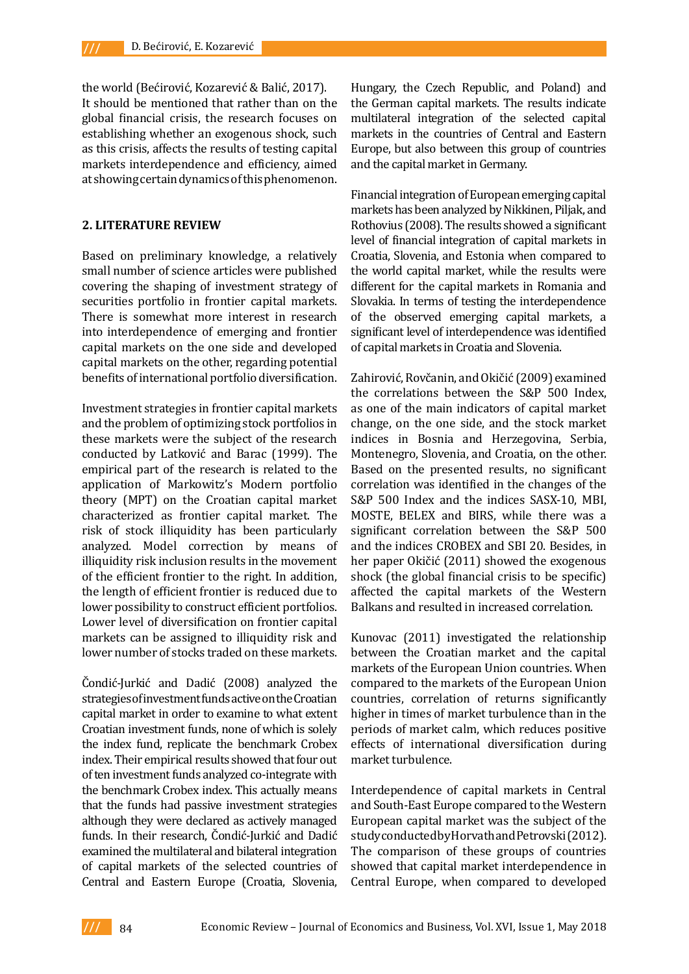the world (Bećirović, Kozarević & Balić, 2017). It should be mentioned that rather than on the global financial crisis, the research focuses on establishing whether an exogenous shock, such as this crisis, affects the results of testing capital markets interdependence and efficiency, aimed at showing certain dynamics of this phenomenon.

### **2. LITERATURE REVIEW**

Based on preliminary knowledge, a relatively small number of science articles were published covering the shaping of investment strategy of securities portfolio in frontier capital markets. There is somewhat more interest in research into interdependence of emerging and frontier capital markets on the one side and developed capital markets on the other, regarding potential benefits of international portfolio diversification.

Investment strategies in frontier capital markets and the problem of optimizing stock portfolios in these markets were the subject of the research conducted by Latković and Barac (1999). The empirical part of the research is related to the application of Markowitz's Modern portfolio theory (MPT) on the Croatian capital market characterized as frontier capital market. The risk of stock illiquidity has been particularly analyzed. Model correction by means of illiquidity risk inclusion results in the movement of the efficient frontier to the right. In addition, the length of efficient frontier is reduced due to lower possibility to construct efficient portfolios. Lower level of diversification on frontier capital markets can be assigned to illiquidity risk and lower number of stocks traded on these markets.

Čondić-Jurkić and Dadić (2008) analyzed the strategies of investment funds active on the Croatian capital market in order to examine to what extent Croatian investment funds, none of which is solely the index fund, replicate the benchmark Crobex index. Their empirical results showed that four out of ten investment funds analyzed co-integrate with the benchmark Crobex index. This actually means that the funds had passive investment strategies although they were declared as actively managed funds. In their research, Čondić-Jurkić and Dadić examined the multilateral and bilateral integration of capital markets of the selected countries of Central and Eastern Europe (Croatia, Slovenia,

Hungary, the Czech Republic, and Poland) and the German capital markets. The results indicate multilateral integration of the selected capital markets in the countries of Central and Eastern Europe, but also between this group of countries and the capital market in Germany.

Financial integration of European emerging capital markets has been analyzed by Nikkinen, Piljak, and Rothovius (2008). The results showed a significant level of financial integration of capital markets in Croatia, Slovenia, and Estonia when compared to the world capital market, while the results were different for the capital markets in Romania and Slovakia. In terms of testing the interdependence of the observed emerging capital markets, a significant level of interdependence was identified of capital markets in Croatia and Slovenia.

Zahirović, Rovčanin, and Okičić (2009) examined the correlations between the S&P 500 Index, as one of the main indicators of capital market change, on the one side, and the stock market indices in Bosnia and Herzegovina, Serbia, Montenegro, Slovenia, and Croatia, on the other. Based on the presented results, no significant correlation was identified in the changes of the S&P 500 Index and the indices SASX-10, MBI, MOSTE, BELEX and BIRS, while there was a significant correlation between the S&P 500 and the indices CROBEX and SBI 20. Besides, in her paper Okičić (2011) showed the exogenous shock (the global financial crisis to be specific) affected the capital markets of the Western Balkans and resulted in increased correlation.

Kunovac (2011) investigated the relationship between the Croatian market and the capital markets of the European Union countries. When compared to the markets of the European Union countries, correlation of returns significantly higher in times of market turbulence than in the periods of market calm, which reduces positive effects of international diversification during market turbulence.

Interdependence of capital markets in Central and South-East Europe compared to the Western European capital market was the subject of the study conducted by Horvath and Petrovski (2012). The comparison of these groups of countries showed that capital market interdependence in Central Europe, when compared to developed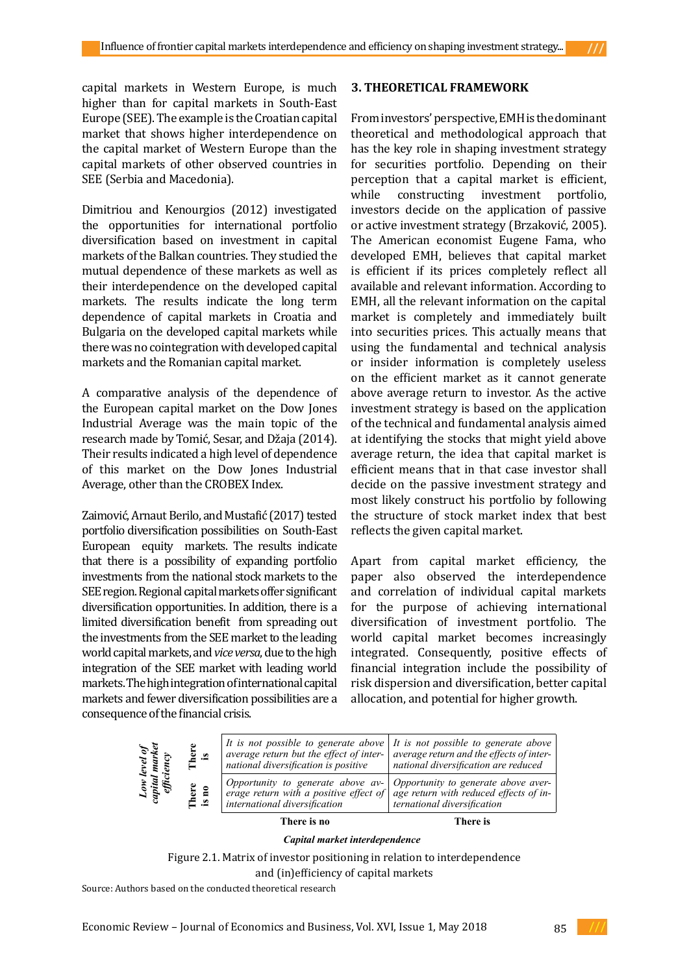capital markets in Western Europe, is much higher than for capital markets in South-East Europe (SEE). The example is the Croatian capital market that shows higher interdependence on the capital market of Western Europe than the capital markets of other observed countries in SEE (Serbia and Macedonia).

Dimitriou and Kenourgios (2012) investigated the opportunities for international portfolio diversification based on investment in capital markets of the Balkan countries. They studied the mutual dependence of these markets as well as their interdependence on the developed capital markets. The results indicate the long term dependence of capital markets in Croatia and Bulgaria on the developed capital markets while there was no cointegration with developed capital markets and the Romanian capital market.

A comparative analysis of the dependence of the European capital market on the Dow Jones Industrial Average was the main topic of the research made by Tomić, Sesar, and Džaja (2014). Their results indicated a high level of dependence of this market on the Dow Jones Industrial Average, other than the CROBEX Index.

Zaimović, Arnaut Berilo, and Mustafić (2017) tested portfolio diversification possibilities on South-East European equity markets. The results indicate that there is a possibility of expanding portfolio investments from the national stock markets to the SEE region. Regional capital markets offer significant diversification opportunities. In addition, there is a limited diversification benefit from spreading out the investments from the SEE market to the leading world capital markets, and *vice versa*, due to the high integration of the SEE market with leading world markets. The high integration of international capital markets and fewer diversification possibilities are a consequence of the financial crisis.

#### **3. THEORETICAL FRAMEWORK**

From investors' perspective, EMH is the dominant theoretical and methodological approach that has the key role in shaping investment strategy for securities portfolio. Depending on their perception that a capital market is efficient,<br>while constructing investment portfolio. constructing investment portfolio, investors decide on the application of passive or active investment strategy (Brzaković, 2005). The American economist Eugene Fama, who developed EMH, believes that capital market is efficient if its prices completely reflect all available and relevant information. According to EMH, all the relevant information on the capital market is completely and immediately built into securities prices. This actually means that using the fundamental and technical analysis or insider information is completely useless on the efficient market as it cannot generate above average return to investor. As the active investment strategy is based on the application of the technical and fundamental analysis aimed at identifying the stocks that might yield above average return, the idea that capital market is efficient means that in that case investor shall decide on the passive investment strategy and most likely construct his portfolio by following the structure of stock market index that best reflects the given capital market.

Apart from capital market efficiency, the paper also observed the interdependence and correlation of individual capital markets for the purpose of achieving international diversification of investment portfolio. The world capital market becomes increasingly integrated. Consequently, positive effects of financial integration include the possibility of risk dispersion and diversification, better capital allocation, and potential for higher growth.

| ರಿ<br>$\ddot{a}$<br>$\tilde{e}$ $\tilde{e}$ | There<br>is    | It is not possible to generate above $\vert$ It is not possible to generate above<br>average return but the effect of inter-<br>national diversification is positive                        | average return and the effects of inter-<br>national diversification are reduced |
|---------------------------------------------|----------------|---------------------------------------------------------------------------------------------------------------------------------------------------------------------------------------------|----------------------------------------------------------------------------------|
| $Lo_n$<br>apital<br>effici                  | There<br>is no | Opportunity to generate above av- Opportunity to generate above aver-<br>erage return with a positive effect of $ $ age return with reduced effects of in-<br>international diversification | ternational diversification                                                      |
|                                             |                | There is no                                                                                                                                                                                 | There is                                                                         |

 *Capital market interdependence*

Figure 2.1. Matrix of investor positioning in relation to interdependence

and (in)efficiency of capital markets

Source: Authors based on the conducted theoretical research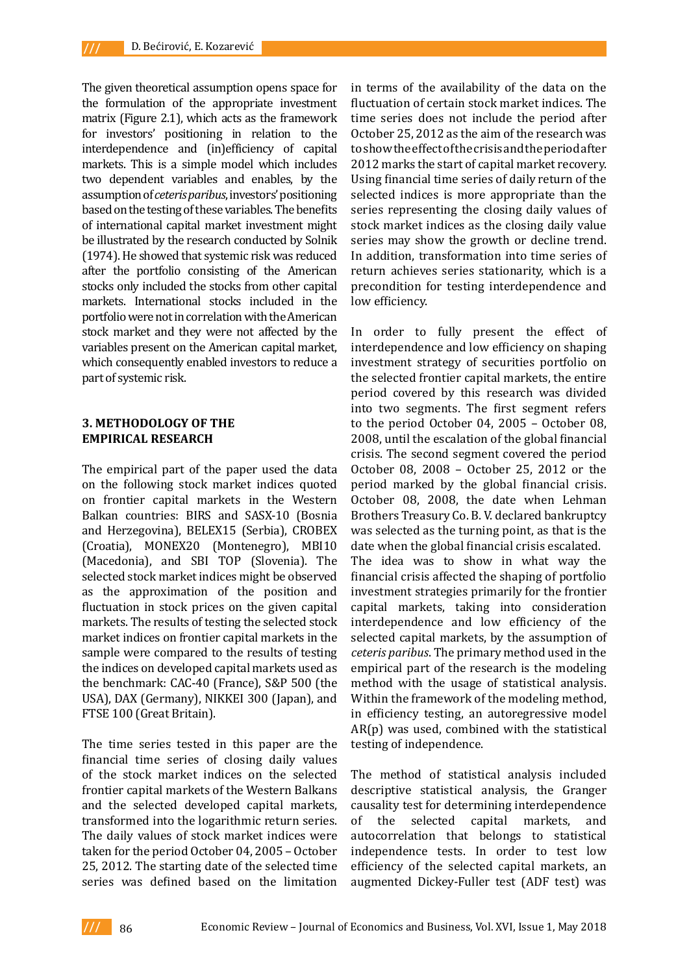The given theoretical assumption opens space for the formulation of the appropriate investment matrix (Figure 2.1), which acts as the framework for investors' positioning in relation to the interdependence and (in)efficiency of capital markets. This is a simple model which includes two dependent variables and enables, by the assumption of *ceteris paribus*, investors' positioning based on the testing of these variables. The benefits of international capital market investment might be illustrated by the research conducted by Solnik (1974). He showed that systemic risk was reduced after the portfolio consisting of the American stocks only included the stocks from other capital markets. International stocks included in the portfolio were not in correlation with the American stock market and they were not affected by the variables present on the American capital market, which consequently enabled investors to reduce a part of systemic risk.

## **3. METHODOLOGY OF THE EMPIRICAL RESEARCH**

The empirical part of the paper used the data on the following stock market indices quoted on frontier capital markets in the Western Balkan countries: BIRS and SASX-10 (Bosnia and Herzegovina), BELEX15 (Serbia), CROBEX (Croatia), MONEX20 (Montenegro), MBI10 (Macedonia), and SBI TOP (Slovenia). The selected stock market indices might be observed as the approximation of the position and fluctuation in stock prices on the given capital markets. The results of testing the selected stock market indices on frontier capital markets in the sample were compared to the results of testing the indices on developed capital markets used as the benchmark: CAC-40 (France), S&P 500 (the USA), DAX (Germany), NIKKEI 300 (Japan), and FTSE 100 (Great Britain).

The time series tested in this paper are the financial time series of closing daily values of the stock market indices on the selected frontier capital markets of the Western Balkans and the selected developed capital markets, transformed into the logarithmic return series. The daily values of stock market indices were taken for the period October 04, 2005 – October 25, 2012. The starting date of the selected time series was defined based on the limitation

in terms of the availability of the data on the fluctuation of certain stock market indices. The time series does not include the period after October 25, 2012 as the aim of the research was to show the effect of the crisis and the period after 2012 marks the start of capital market recovery. Using financial time series of daily return of the selected indices is more appropriate than the series representing the closing daily values of stock market indices as the closing daily value series may show the growth or decline trend. In addition, transformation into time series of return achieves series stationarity, which is a precondition for testing interdependence and low efficiency.

In order to fully present the effect of interdependence and low efficiency on shaping investment strategy of securities portfolio on the selected frontier capital markets, the entire period covered by this research was divided into two segments. The first segment refers to the period October 04, 2005 – October 08, 2008, until the escalation of the global financial crisis. The second segment covered the period October 08, 2008 – October 25, 2012 or the period marked by the global financial crisis. October 08, 2008, the date when Lehman Brothers Treasury Co. B. V. declared bankruptcy was selected as the turning point, as that is the date when the global financial crisis escalated. The idea was to show in what way the financial crisis affected the shaping of portfolio investment strategies primarily for the frontier capital markets, taking into consideration interdependence and low efficiency of the selected capital markets, by the assumption of *ceteris paribus*. The primary method used in the empirical part of the research is the modeling method with the usage of statistical analysis. Within the framework of the modeling method, in efficiency testing, an autoregressive model AR(p) was used, combined with the statistical testing of independence.

The method of statistical analysis included descriptive statistical analysis, the Granger causality test for determining interdependence of the selected capital markets, and autocorrelation that belongs to statistical independence tests. In order to test low efficiency of the selected capital markets, an augmented Dickey-Fuller test (ADF test) was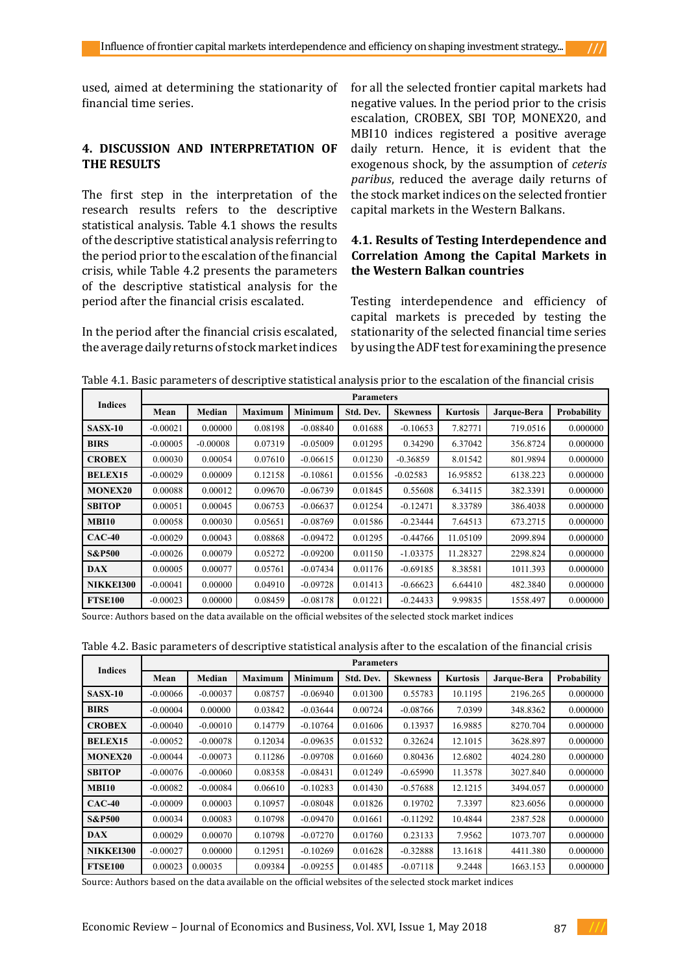used, aimed at determining the stationarity of financial time series.

# **4. DISCUSSION AND INTERPRETATION OF THE RESULTS**

The first step in the interpretation of the research results refers to the descriptive statistical analysis. Table 4.1 shows the results of the descriptive statistical analysis referring to the period prior to the escalation of the financial crisis, while Table 4.2 presents the parameters of the descriptive statistical analysis for the period after the financial crisis escalated.

In the period after the financial crisis escalated, the average daily returns of stock market indices for all the selected frontier capital markets had negative values. In the period prior to the crisis escalation, CROBEX, SBI TOP, MONEX20, and MBI10 indices registered a positive average daily return. Hence, it is evident that the exogenous shock, by the assumption of *ceteris paribus*, reduced the average daily returns of the stock market indices on the selected frontier capital markets in the Western Balkans.

# **4.1. Results of Testing Interdependence and Correlation Among the Capital Markets in the Western Balkan countries**

Testing interdependence and efficiency of capital markets is preceded by testing the stationarity of the selected financial time series by using the ADF test for examining the presence

| <b>Indices</b>    |            | <b>Parameters</b> |                |                |           |                 |                 |             |                    |  |  |  |  |
|-------------------|------------|-------------------|----------------|----------------|-----------|-----------------|-----------------|-------------|--------------------|--|--|--|--|
|                   | Mean       | Median            | <b>Maximum</b> | <b>Minimum</b> | Std. Dev. | <b>Skewness</b> | <b>Kurtosis</b> | Jarque-Bera | <b>Probability</b> |  |  |  |  |
| <b>SASX-10</b>    | $-0.00021$ | 0.00000           | 0.08198        | $-0.08840$     | 0.01688   | $-0.10653$      | 7.82771         | 719.0516    | 0.000000           |  |  |  |  |
| <b>BIRS</b>       | $-0.00005$ | $-0.00008$        | 0.07319        | $-0.05009$     | 0.01295   | 0.34290         | 6.37042         | 356.8724    | 0.000000           |  |  |  |  |
| <b>CROBEX</b>     | 0.00030    | 0.00054           | 0.07610        | $-0.06615$     | 0.01230   | $-0.36859$      | 8.01542         | 801.9894    | 0.000000           |  |  |  |  |
| <b>BELEX15</b>    | $-0.00029$ | 0.00009           | 0.12158        | $-0.10861$     | 0.01556   | $-0.02583$      | 16.95852        | 6138.223    | 0.000000           |  |  |  |  |
| <b>MONEX20</b>    | 0.00088    | 0.00012           | 0.09670        | $-0.06739$     | 0.01845   | 0.55608         | 6.34115         | 382.3391    | 0.000000           |  |  |  |  |
| <b>SBITOP</b>     | 0.00051    | 0.00045           | 0.06753        | $-0.06637$     | 0.01254   | $-0.12471$      | 8.33789         | 386.4038    | 0.000000           |  |  |  |  |
| <b>MBI10</b>      | 0.00058    | 0.00030           | 0.05651        | $-0.08769$     | 0.01586   | $-0.23444$      | 7.64513         | 673.2715    | 0.000000           |  |  |  |  |
| $CAC-40$          | $-0.00029$ | 0.00043           | 0.08868        | $-0.09472$     | 0.01295   | $-0.44766$      | 11.05109        | 2099.894    | 0.000000           |  |  |  |  |
| <b>S&amp;P500</b> | $-0.00026$ | 0.00079           | 0.05272        | $-0.09200$     | 0.01150   | $-1.03375$      | 11.28327        | 2298.824    | 0.000000           |  |  |  |  |
| <b>DAX</b>        | 0.00005    | 0.00077           | 0.05761        | $-0.07434$     | 0.01176   | $-0.69185$      | 8.38581         | 1011.393    | 0.000000           |  |  |  |  |
| NIKKEI300         | $-0.00041$ | 0.00000           | 0.04910        | $-0.09728$     | 0.01413   | $-0.66623$      | 6.64410         | 482.3840    | 0.000000           |  |  |  |  |
| <b>FTSE100</b>    | $-0.00023$ | 0.00000           | 0.08459        | $-0.08178$     | 0.01221   | $-0.24433$      | 9.99835         | 1558.497    | 0.000000           |  |  |  |  |

Table 4.1. Basic parameters of descriptive statistical analysis prior to the escalation of the financial crisis

Source: Authors based on the data available on the official websites of the selected stock market indices

| Table 4.2. Basic parameters of descriptive statistical analysis after to the escalation of the financial crisis |  |
|-----------------------------------------------------------------------------------------------------------------|--|
|-----------------------------------------------------------------------------------------------------------------|--|

| <b>Indices</b>    | <b>Parameters</b> |               |                |                |           |                 |                 |             |             |  |  |  |
|-------------------|-------------------|---------------|----------------|----------------|-----------|-----------------|-----------------|-------------|-------------|--|--|--|
|                   | Mean              | <b>Median</b> | <b>Maximum</b> | <b>Minimum</b> | Std. Dev. | <b>Skewness</b> | <b>Kurtosis</b> | Jarque-Bera | Probability |  |  |  |
| <b>SASX-10</b>    | $-0.00066$        | $-0.00037$    | 0.08757        | $-0.06940$     | 0.01300   | 0.55783         | 10.1195         | 2196.265    | 0.000000    |  |  |  |
| <b>BIRS</b>       | $-0.00004$        | 0.00000       | 0.03842        | $-0.03644$     | 0.00724   | $-0.08766$      | 7.0399          | 348.8362    | 0.000000    |  |  |  |
| <b>CROBEX</b>     | $-0.00040$        | $-0.00010$    | 0.14779        | $-0.10764$     | 0.01606   | 0.13937         | 16.9885         | 8270.704    | 0.000000    |  |  |  |
| <b>BELEX15</b>    | $-0.00052$        | $-0.00078$    | 0.12034        | $-0.09635$     | 0.01532   | 0.32624         | 12.1015         | 3628.897    | 0.000000    |  |  |  |
| <b>MONEX20</b>    | $-0.00044$        | $-0.00073$    | 0.11286        | $-0.09708$     | 0.01660   | 0.80436         | 12.6802         | 4024.280    | 0.000000    |  |  |  |
| <b>SBITOP</b>     | $-0.00076$        | $-0.00060$    | 0.08358        | $-0.08431$     | 0.01249   | $-0.65990$      | 11.3578         | 3027.840    | 0.000000    |  |  |  |
| <b>MBI10</b>      | $-0.00082$        | $-0.00084$    | 0.06610        | $-0.10283$     | 0.01430   | $-0.57688$      | 12.1215         | 3494.057    | 0.000000    |  |  |  |
| $CAC-40$          | $-0.00009$        | 0.00003       | 0.10957        | $-0.08048$     | 0.01826   | 0.19702         | 7.3397          | 823.6056    | 0.000000    |  |  |  |
| <b>S&amp;P500</b> | 0.00034           | 0.00083       | 0.10798        | $-0.09470$     | 0.01661   | $-0.11292$      | 10.4844         | 2387.528    | 0.000000    |  |  |  |
| <b>DAX</b>        | 0.00029           | 0.00070       | 0.10798        | $-0.07270$     | 0.01760   | 0.23133         | 7.9562          | 1073.707    | 0.000000    |  |  |  |
| NIKKEI300         | $-0.00027$        | 0.00000       | 0.12951        | $-0.10269$     | 0.01628   | $-0.32888$      | 13.1618         | 4411.380    | 0.000000    |  |  |  |
| <b>FTSE100</b>    | 0.00023           | 0.00035       | 0.09384        | $-0.09255$     | 0.01485   | $-0.07118$      | 9.2448          | 1663.153    | 0.000000    |  |  |  |

Source: Authors based on the data available on the official websites of the selected stock market indices

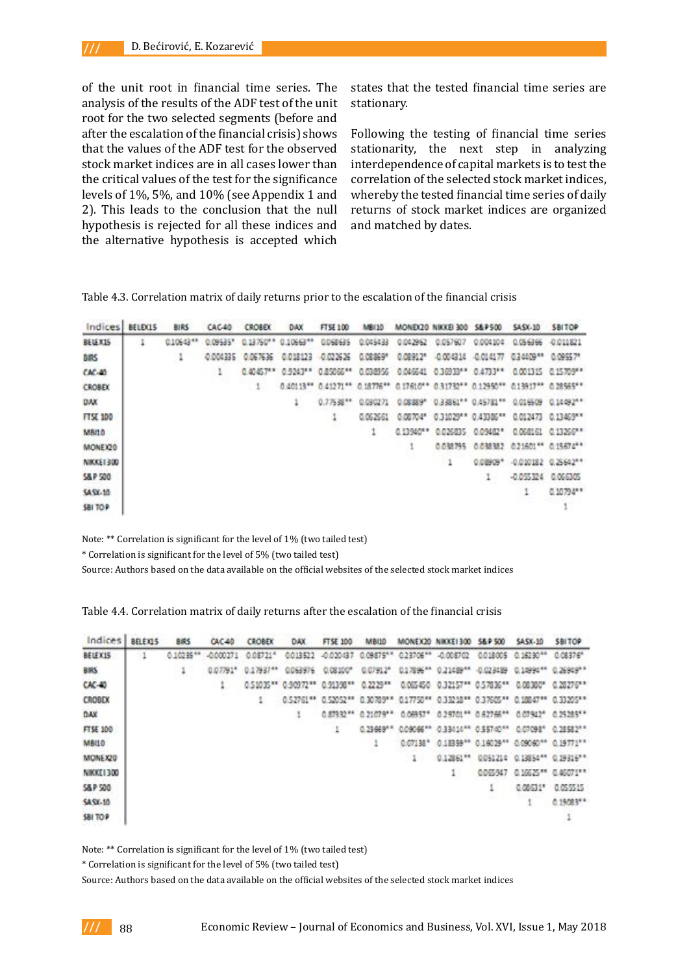of the unit root in financial time series. The analysis of the results of the ADF test of the unit root for the two selected segments (before and after the escalation of the financial crisis) shows that the values of the ADF test for the observed stock market indices are in all cases lower than the critical values of the test for the significance levels of 1%, 5%, and 10% (see Appendix 1 and 2). This leads to the conclusion that the null hypothesis is rejected for all these indices and the alternative hypothesis is accepted which

states that the tested financial time series are stationary.

Following the testing of financial time series stationarity, the next step in analyzing interdependence of capital markets is to test the correlation of the selected stock market indices, whereby the tested financial time series of daily returns of stock market indices are organized and matched by dates.

Table 4.3. Correlation matrix of daily returns prior to the escalation of the financial crisis

| Indices.                 | BELEX15 | <b>BIRS</b> | CAC40    | <b>CROBEX</b> | <b>DAX</b>         | FTSE 100   | MB110    |            | MONE(20 NIKKE) 300                                                              | <b>S&amp;P 500</b> | <b>SASX-10</b> | <b>SBITOP</b>        |
|--------------------------|---------|-------------|----------|---------------|--------------------|------------|----------|------------|---------------------------------------------------------------------------------|--------------------|----------------|----------------------|
| BELEX15                  |         | 010643**    | 0.09535* | 0.13750**     | 0.10663**          | 0068635    | 0.045433 | 0.042962   | 0.057607                                                                        | 0.004304           | 0.056366       | 0.011821             |
| <b>BIRS</b>              |         | ı           | 0.004335 | 0.067636      | 0.018123           | -0.022626  | 0.08369* | 0.08912*   | $-0.004314$                                                                     | $-0.014177$        | 0.34409 **     | 0.09557*             |
| $CK-40$                  |         |             | 1        |               | 0.40457** 0.9243** | 0.85066 ** | 0.030956 |            | 0.046641 0.36933** 0.4733**                                                     |                    | 0.001315       | 0.15709**            |
| <b>CROBEX</b>            |         |             |          | 1             |                    |            |          |            | 0.40113** 0.41271** 0.18776** 0.17610** 0.31732** 0.12950** 0.13917** 0.28565** |                    |                |                      |
| <b>DAX</b>               |         |             |          |               | ٠                  | 0.775 38** | 0.030271 | 0.08.889'' |                                                                                 | 033861" 0.45781"   | 0.016509       | 0.14492**            |
| <b>FTSE 100</b>          |         |             |          |               |                    | ٠          | 0.062661 | 0.08704*   | 0.31029** 0.43385**                                                             |                    |                | 0.012473 0.13469**   |
| <b>MBILD</b>             |         |             |          |               |                    |            | ÷        | 0.13940**  | 0.026035                                                                        | 0.09402*           | 0.068161       | 0.13260**            |
| MONEI20                  |         |             |          |               |                    |            |          |            | 0.038795                                                                        | 0.038382           |                | 021601 ** 0.15674 ** |
| <b><i>NIKKEL1300</i></b> |         |             |          |               |                    |            |          |            | ٠                                                                               | 0.08909*           | $-0.010182$    | $0.25642**$          |
| <b>S&amp;P 500</b>       |         |             |          |               |                    |            |          |            |                                                                                 | $\mathbf{1}$       | $-0.055324$    | 0.066305             |
| <b>SA SX-10</b>          |         |             |          |               |                    |            |          |            |                                                                                 |                    |                | 0.10794**            |
| SBI TOP                  |         |             |          |               |                    |            |          |            |                                                                                 |                    |                |                      |

Note: \*\* Correlation is significant for the level of 1% (two tailed test)

\* Correlation is significant for the level of 5% (two tailed test)

Source: Authors based on the data available on the official websites of the selected stock market indices

| Table 4.4. Correlation matrix of daily returns after the escalation of the financial crisis |  |
|---------------------------------------------------------------------------------------------|--|
|---------------------------------------------------------------------------------------------|--|

| Indices        | BELEXIS | <b>BIRS</b> | CAC40     | <b>CROBEK</b> | DAX.                                   | <b>FTSE 100</b> | <b>MB/10</b> |             | MONEX20 NIKKE1300 S&P 500                                           |                                | <b>SASX-10</b> | SBITOP                                                                          |
|----------------|---------|-------------|-----------|---------------|----------------------------------------|-----------------|--------------|-------------|---------------------------------------------------------------------|--------------------------------|----------------|---------------------------------------------------------------------------------|
| BELEX15        |         | $0.10235**$ | -0.000271 | $0.08721*$    | 0.013522                               | -0.020437       | $0.09875***$ | 0.23706 **  | $-0.008702$                                                         | 0.018005                       | $0.16230**$    | $0.08376*$                                                                      |
| <b>BRS</b>     |         | ı           | 0.07791*  | 0.17937**     | 0.063976                               | 0.08100*        | 0.07912*     |             | 0.17896" 0.21489"                                                   | $-0.023489$                    |                | 0.10994" 0.26949"*                                                              |
| $CAC-40$       |         |             | ٠         |               | 0.51035** 0.90972** 0.91398** 0.2229** |                 |              |             | 0.005450 0.32157** 0.57836**                                        |                                | 0.08300*       | 0.28276**                                                                       |
| <b>CROBDX</b>  |         |             |           | ı             |                                        |                 |              |             |                                                                     |                                |                | 0.52761** 0.52052** 0.30789** 0.17750** 0.33218** 0.37605** 0.18847** 0.33205** |
| DAX            |         |             |           |               |                                        |                 |              |             | 0.87332** 0.21079** 0.08957* 0.29701** 0.82786** 0.07942* 0.25385** |                                |                |                                                                                 |
| FTSE 100       |         |             |           |               |                                        | ÷.              | $0.23669***$ | 0.09066 *** |                                                                     | 0.33414 ** 0.55740 ** 0.07098* |                | $0.28582**$                                                                     |
| MBILD          |         |             |           |               |                                        |                 |              | $0.07138*$  |                                                                     |                                |                | 0.18359** 0.16029** 0.09060** 0.19771**                                         |
| MONEX20        |         |             |           |               |                                        |                 |              | $-1$        | 0.12861**                                                           | 0051214                        |                | 0.13854** 0.19316**                                                             |
| NIKKEI 300     |         |             |           |               |                                        |                 |              |             | ٠                                                                   | 0.005947                       |                | 0.16625 ** 0.46071**                                                            |
| S&P 500        |         |             |           |               |                                        |                 |              |             |                                                                     |                                | 0.08631*       | 0.055515                                                                        |
| <b>SASK-10</b> |         |             |           |               |                                        |                 |              |             |                                                                     |                                |                | 0.19083**                                                                       |
| SBI TOP        |         |             |           |               |                                        |                 |              |             |                                                                     |                                |                |                                                                                 |

Note: \*\* Correlation is significant for the level of 1% (two tailed test)

\* Correlation is significant for the level of 5% (two tailed test)

Source: Authors based on the data available on the official websites of the selected stock market indices

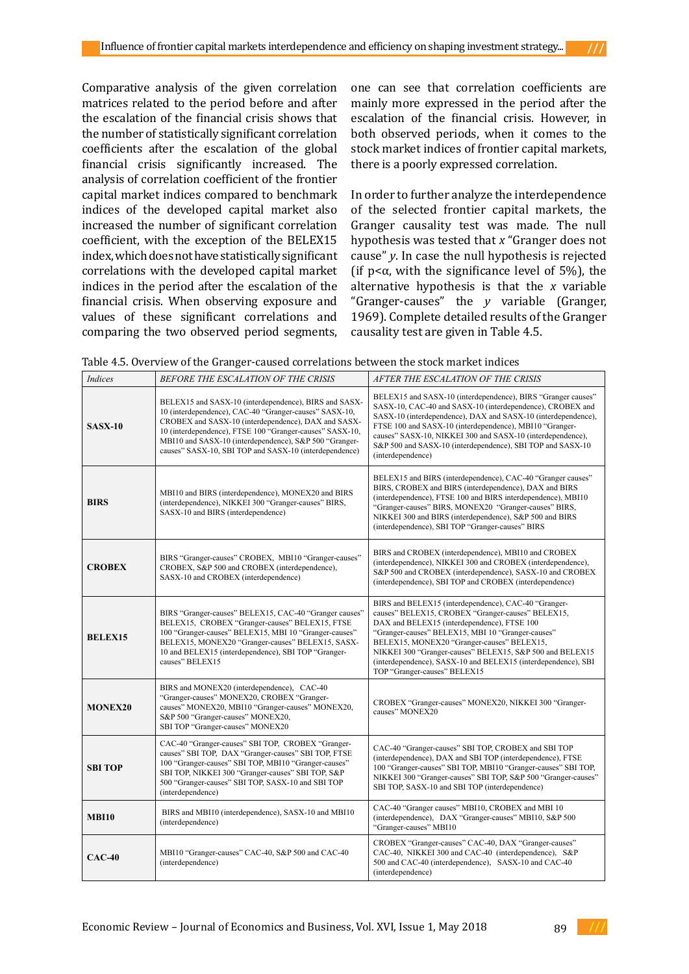Comparative analysis of the given correlation matrices related to the period before and after the escalation of the financial crisis shows that the number of statistically significant correlation coefficients after the escalation of the global financial crisis significantly increased. The analysis of correlation coefficient of the frontier capital market indices compared to benchmark indices of the developed capital market also increased the number of significant correlation coefficient, with the exception of the BELEX15 index, which does not have statistically significant correlations with the developed capital market indices in the period after the escalation of the financial crisis. When observing exposure and values of these significant correlations and comparing the two observed period segments, one can see that correlation coefficients are mainly more expressed in the period after the escalation of the financial crisis. However, in both observed periods, when it comes to the stock market indices of frontier capital markets, there is a poorly expressed correlation.

In order to further analyze the interdependence of the selected frontier capital markets, the Granger causality test was made. The null hypothesis was tested that *x* "Granger does not cause" *y*. In case the null hypothesis is rejected (if  $p < \alpha$ , with the significance level of 5%), the alternative hypothesis is that the *x* variable "Granger-causes" the *y* variable (Granger, 1969). Complete detailed results of the Granger causality test are given in Table 4.5.

Table 4.5. Overview of the Granger-caused correlations between the stock market indices

| Indices        | BEFORE THE ESCALATION OF THE CRISIS                                                                                                                                                                                                                                                                                                                    | AFTER THE ESCALATION OF THE CRISIS                                                                                                                                                                                                                                                                                                                                                                                       |
|----------------|--------------------------------------------------------------------------------------------------------------------------------------------------------------------------------------------------------------------------------------------------------------------------------------------------------------------------------------------------------|--------------------------------------------------------------------------------------------------------------------------------------------------------------------------------------------------------------------------------------------------------------------------------------------------------------------------------------------------------------------------------------------------------------------------|
| <b>SASX-10</b> | BELEX15 and SASX-10 (interdependence), BIRS and SASX-<br>10 (interdependence), CAC-40 "Granger-causes" SASX-10,<br>CROBEX and SASX-10 (interdependence), DAX and SASX-<br>10 (interdependence), FTSE 100 "Granger-causes" SASX-10,<br>MBI10 and SASX-10 (interdependence), S&P 500 "Granger-<br>causes" SASX-10, SBI TOP and SASX-10 (interdependence) | BELEX15 and SASX-10 (interdependence), BIRS "Granger causes"<br>SASX-10, CAC-40 and SASX-10 (interdependence), CROBEX and<br>SASX-10 (interdependence), DAX and SASX-10 (interdependence),<br>FTSE 100 and SASX-10 (interdependence), MBI10 "Granger-<br>causes" SASX-10, NIKKEI 300 and SASX-10 (interdependence),<br>S&P 500 and SASX-10 (interdependence), SBI TOP and SASX-10<br>(interdependence)                   |
| <b>BIRS</b>    | MBI10 and BIRS (interdependence), MONEX20 and BIRS<br>(interdependence), NIKKEI 300 "Granger-causes" BIRS,<br>SASX-10 and BIRS (interdependence)                                                                                                                                                                                                       | BELEX15 and BIRS (interdependence), CAC-40 "Granger causes"<br>BIRS, CROBEX and BIRS (interdependence), DAX and BIRS<br>(interdependence), FTSE 100 and BIRS interdependence), MBI10<br>"Granger-causes" BIRS, MONEX20 "Granger-causes" BIRS,<br>NIKKEI 300 and BIRS (interdependence), S&P 500 and BIRS<br>(interdependence), SBI TOP "Granger-causes" BIRS                                                             |
| <b>CROBEX</b>  | BIRS "Granger-causes" CROBEX, MBI10 "Granger-causes"<br>CROBEX, S&P 500 and CROBEX (interdependence),<br>SASX-10 and CROBEX (interdependence)                                                                                                                                                                                                          | BIRS and CROBEX (interdependence), MBI10 and CROBEX<br>(interdependence), NIKKEI 300 and CROBEX (interdependence),<br>S&P 500 and CROBEX (interdependence), SASX-10 and CROBEX<br>(interdependence), SBI TOP and CROBEX (interdependence)                                                                                                                                                                                |
| <b>BELEX15</b> | BIRS "Granger-causes" BELEX15, CAC-40 "Granger causes"<br>BELEX15, CROBEX "Granger-causes" BELEX15, FTSE<br>100 "Granger-causes" BELEX15, MBI 10 "Granger-causes"<br>BELEX15, MONEX20 "Granger-causes" BELEX15, SASX-<br>10 and BELEX15 (interdependence), SBI TOP "Granger-<br>causes" BELEX15                                                        | BIRS and BELEX15 (interdependence), CAC-40 "Granger-<br>causes" BELEX15, CROBEX "Granger-causes" BELEX15,<br>DAX and BELEX15 (interdependence), FTSE 100<br>"Granger-causes" BELEX15, MBI 10 "Granger-causes"<br>BELEX15, MONEX20 "Granger-causes" BELEX15,<br>NIKKEI 300 "Granger-causes" BELEX15, S&P 500 and BELEX15<br>(interdependence), SASX-10 and BELEX15 (interdependence), SBI<br>TOP "Granger-causes" BELEX15 |
| <b>MONEX20</b> | BIRS and MONEX20 (interdependence), CAC-40<br>"Granger-causes" MONEX20, CROBEX "Granger-<br>causes" MONEX20, MBI10 "Granger-causes" MONEX20,<br>S&P 500 "Granger-causes" MONEX20,<br>SBI TOP "Granger-causes" MONEX20                                                                                                                                  | CROBEX "Granger-causes" MONEX20, NIKKEI 300 "Granger-<br>causes" MONEX20                                                                                                                                                                                                                                                                                                                                                 |
| <b>SBI TOP</b> | CAC-40 "Granger-causes" SBI TOP, CROBEX "Granger-<br>causes" SBI TOP, DAX "Granger-causes" SBI TOP, FTSE<br>100 "Granger-causes" SBI TOP, MBI10 "Granger-causes"<br>SBI TOP, NIKKEI 300 "Granger-causes" SBI TOP, S&P<br>500 "Granger-causes" SBI TOP, SASX-10 and SBI TOP<br>(interdependence)                                                        | CAC-40 "Granger-causes" SBI TOP, CROBEX and SBI TOP<br>(interdependence), DAX and SBI TOP (interdependence), FTSE<br>100 "Granger-causes" SBI TOP, MBI10 "Granger-causes" SBI TOP,<br>NIKKEI 300 "Granger-causes" SBI TOP, S&P 500 "Granger-causes"<br>SBI TOP, SASX-10 and SBI TOP (interdependence)                                                                                                                    |
| <b>MBI10</b>   | BIRS and MBI10 (interdependence), SASX-10 and MBI10<br>(interdependence)                                                                                                                                                                                                                                                                               | CAC-40 "Granger causes" MBI10, CROBEX and MBI 10<br>(interdependence), DAX "Granger-causes" MBI10, S&P 500<br>"Granger-causes" MBI10                                                                                                                                                                                                                                                                                     |
| $CAC-40$       | MBI10 "Granger-causes" CAC-40, S&P 500 and CAC-40<br>(interdependence)                                                                                                                                                                                                                                                                                 | CROBEX "Granger-causes" CAC-40, DAX "Granger-causes"<br>CAC-40, NIKKEI 300 and CAC-40 (interdependence), S&P<br>500 and CAC-40 (interdependence), SASX-10 and CAC-40<br>(interdependence)                                                                                                                                                                                                                                |

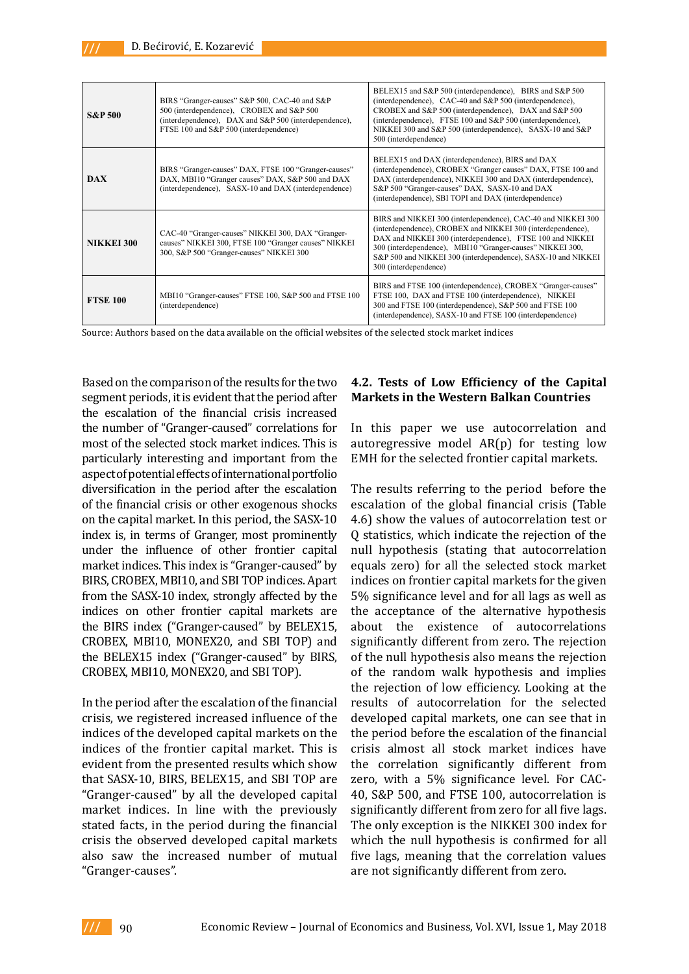| <b>S&amp;P 500</b> | BIRS "Granger-causes" S&P 500, CAC-40 and S&P<br>500 (interdependence), CROBEX and S&P 500<br>(interdependence), DAX and S&P 500 (interdependence),<br>FTSE 100 and S&P 500 (interdependence) | BELEX15 and S&P 500 (interdependence). BIRS and S&P 500<br>(interdependence), CAC-40 and S&P 500 (interdependence),<br>CROBEX and S&P 500 (interdependence), DAX and S&P 500<br>(interdependence), FTSE 100 and S&P 500 (interdependence),<br>NIKKEI 300 and S&P 500 (interdependence), SASX-10 and S&P<br>500 (interdependence)               |
|--------------------|-----------------------------------------------------------------------------------------------------------------------------------------------------------------------------------------------|------------------------------------------------------------------------------------------------------------------------------------------------------------------------------------------------------------------------------------------------------------------------------------------------------------------------------------------------|
| <b>DAX</b>         | BIRS "Granger-causes" DAX, FTSE 100 "Granger-causes"<br>DAX, MBI10 "Granger causes" DAX, S&P 500 and DAX<br>(interdependence), SASX-10 and DAX (interdependence)                              | BELEX15 and DAX (interdependence), BIRS and DAX<br>(interdependence), CROBEX "Granger causes" DAX, FTSE 100 and<br>DAX (interdependence), NIKKEI 300 and DAX (interdependence),<br>S&P 500 "Granger-causes" DAX, SASX-10 and DAX<br>(interdependence), SBI TOPI and DAX (interdependence)                                                      |
| <b>NIKKEI 300</b>  | CAC-40 "Granger-causes" NIKKEI 300, DAX "Granger-<br>causes" NIKKEI 300, FTSE 100 "Granger causes" NIKKEI<br>300, S&P 500 "Granger-causes" NIKKEI 300                                         | BIRS and NIKKEI 300 (interdependence), CAC-40 and NIKKEI 300<br>(interdependence), CROBEX and NIKKEI 300 (interdependence),<br>DAX and NIKKEI 300 (interdependence), FTSE 100 and NIKKEI<br>300 (interdependence), MBI10 "Granger-causes" NIKKEI 300,<br>S&P 500 and NIKKEI 300 (interdependence), SASX-10 and NIKKEI<br>300 (interdependence) |
| <b>FTSE 100</b>    | MBI10 "Granger-causes" FTSE 100, S&P 500 and FTSE 100<br>(interdependence)                                                                                                                    | BIRS and FTSE 100 (interdependence), CROBEX "Granger-causes"<br>FTSE 100, DAX and FTSE 100 (interdependence), NIKKEI<br>300 and FTSE 100 (interdependence), S&P 500 and FTSE 100<br>(interdependence), SASX-10 and FTSE 100 (interdependence)                                                                                                  |

Source: Authors based on the data available on the official websites of the selected stock market indices

Based on the comparison of the results for the two segment periods, it is evident that the period after the escalation of the financial crisis increased the number of "Granger-caused" correlations for most of the selected stock market indices. This is particularly interesting and important from the aspect of potential effects of international portfolio diversification in the period after the escalation of the financial crisis or other exogenous shocks on the capital market. In this period, the SASX-10 index is, in terms of Granger, most prominently under the influence of other frontier capital market indices. This index is "Granger-caused" by BIRS, CROBEX, MBI10, and SBI TOP indices. Apart from the SASX-10 index, strongly affected by the indices on other frontier capital markets are the BIRS index ("Granger-caused" by BELEX15, CROBEX, MBI10, MONEX20, and SBI TOP) and the BELEX15 index ("Granger-caused" by BIRS, CROBEX, MBI10, MONEX20, and SBI TOP).

In the period after the escalation of the financial crisis, we registered increased influence of the indices of the developed capital markets on the indices of the frontier capital market. This is evident from the presented results which show that SASX-10, BIRS, BELEX15, and SBI TOP are "Granger-caused" by all the developed capital market indices. In line with the previously stated facts, in the period during the financial crisis the observed developed capital markets also saw the increased number of mutual "Granger-causes".

### **4.2. Tests of Low Efficiency of the Capital Markets in the Western Balkan Countries**

In this paper we use autocorrelation and autoregressive model AR(p) for testing low EMH for the selected frontier capital markets.

The results referring to the period before the escalation of the global financial crisis (Table 4.6) show the values of autocorrelation test or Q statistics, which indicate the rejection of the null hypothesis (stating that autocorrelation equals zero) for all the selected stock market indices on frontier capital markets for the given 5% significance level and for all lags as well as the acceptance of the alternative hypothesis about the existence of autocorrelations significantly different from zero. The rejection of the null hypothesis also means the rejection of the random walk hypothesis and implies the rejection of low efficiency. Looking at the results of autocorrelation for the selected developed capital markets, one can see that in the period before the escalation of the financial crisis almost all stock market indices have the correlation significantly different from zero, with a 5% significance level. For CAC-40, S&P 500, and FTSE 100, autocorrelation is significantly different from zero for all five lags. The only exception is the NIKKEI 300 index for which the null hypothesis is confirmed for all five lags, meaning that the correlation values are not significantly different from zero.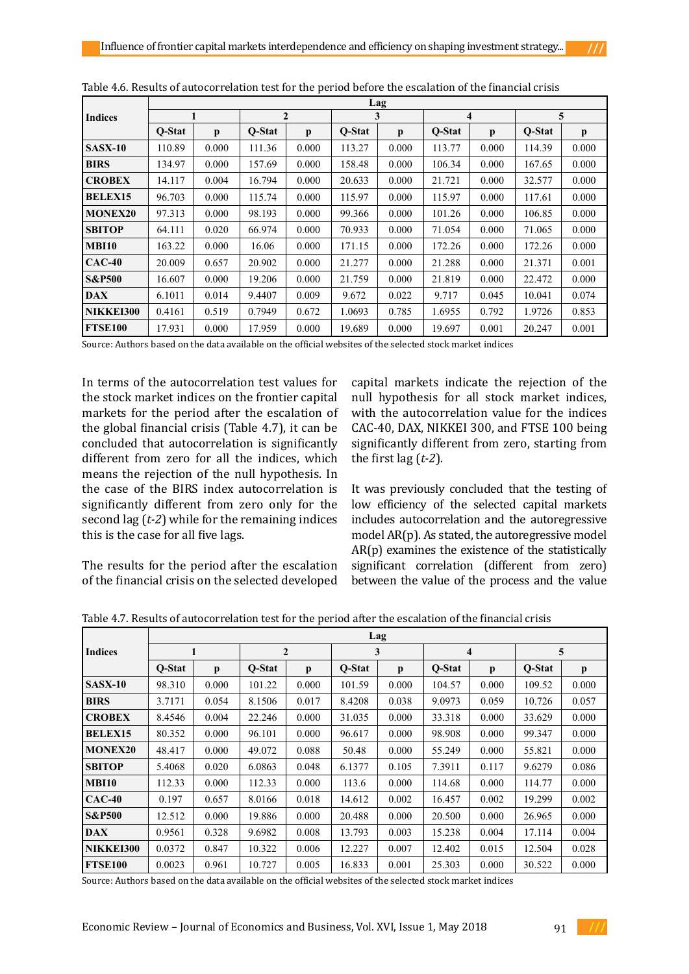|                   | Lag    |       |        |                |        |       |        |       |        |       |  |  |
|-------------------|--------|-------|--------|----------------|--------|-------|--------|-------|--------|-------|--|--|
| <b>Indices</b>    |        |       |        | $\overline{2}$ |        | 3     |        | 4     |        | 5     |  |  |
|                   | O-Stat | p     | O-Stat | p              | O-Stat | p     | O-Stat | p     | O-Stat | p     |  |  |
| <b>SASX-10</b>    | 110.89 | 0.000 | 111.36 | 0.000          | 113.27 | 0.000 | 113.77 | 0.000 | 114.39 | 0.000 |  |  |
| <b>BIRS</b>       | 134.97 | 0.000 | 157.69 | 0.000          | 158.48 | 0.000 | 106.34 | 0.000 | 167.65 | 0.000 |  |  |
| <b>CROBEX</b>     | 14.117 | 0.004 | 16.794 | 0.000          | 20.633 | 0.000 | 21.721 | 0.000 | 32.577 | 0.000 |  |  |
| <b>BELEX15</b>    | 96.703 | 0.000 | 115.74 | 0.000          | 115.97 | 0.000 | 115.97 | 0.000 | 117.61 | 0.000 |  |  |
| <b>MONEX20</b>    | 97.313 | 0.000 | 98.193 | 0.000          | 99.366 | 0.000 | 101.26 | 0.000 | 106.85 | 0.000 |  |  |
| <b>SBITOP</b>     | 64.111 | 0.020 | 66.974 | 0.000          | 70.933 | 0.000 | 71.054 | 0.000 | 71.065 | 0.000 |  |  |
| <b>MBI10</b>      | 163.22 | 0.000 | 16.06  | 0.000          | 171.15 | 0.000 | 172.26 | 0.000 | 172.26 | 0.000 |  |  |
| $CAC-40$          | 20.009 | 0.657 | 20.902 | 0.000          | 21.277 | 0.000 | 21.288 | 0.000 | 21.371 | 0.001 |  |  |
| <b>S&amp;P500</b> | 16.607 | 0.000 | 19.206 | 0.000          | 21.759 | 0.000 | 21.819 | 0.000 | 22.472 | 0.000 |  |  |
| <b>DAX</b>        | 6.1011 | 0.014 | 9.4407 | 0.009          | 9.672  | 0.022 | 9.717  | 0.045 | 10.041 | 0.074 |  |  |
| NIKKEI300         | 0.4161 | 0.519 | 0.7949 | 0.672          | 1.0693 | 0.785 | 1.6955 | 0.792 | 1.9726 | 0.853 |  |  |
| <b>FTSE100</b>    | 17.931 | 0.000 | 17.959 | 0.000          | 19.689 | 0.000 | 19.697 | 0.001 | 20.247 | 0.001 |  |  |

|--|

Source: Authors based on the data available on the official websites of the selected stock market indices

In terms of the autocorrelation test values for the stock market indices on the frontier capital markets for the period after the escalation of the global financial crisis (Table 4.7), it can be concluded that autocorrelation is significantly different from zero for all the indices, which means the rejection of the null hypothesis. In the case of the BIRS index autocorrelation is significantly different from zero only for the second lag (*t-2*) while for the remaining indices this is the case for all five lags.

The results for the period after the escalation of the financial crisis on the selected developed

capital markets indicate the rejection of the null hypothesis for all stock market indices, with the autocorrelation value for the indices CAC-40, DAX, NIKKEI 300, and FTSE 100 being significantly different from zero, starting from the first lag (*t-2*).

It was previously concluded that the testing of low efficiency of the selected capital markets includes autocorrelation and the autoregressive model AR(p). As stated, the autoregressive model AR(p) examines the existence of the statistically significant correlation (different from zero) between the value of the process and the value

|                   | Lag    |              |        |              |        |              |        |              |        |              |  |
|-------------------|--------|--------------|--------|--------------|--------|--------------|--------|--------------|--------|--------------|--|
| <b>Indices</b>    | 1      |              |        | $\mathbf{2}$ |        | 3            |        | 4            |        | 5            |  |
|                   | O-Stat | $\mathbf{p}$ | O-Stat | $\mathbf{p}$ | O-Stat | $\mathbf{p}$ | O-Stat | $\mathbf{p}$ | O-Stat | $\mathbf{p}$ |  |
| <b>SASX-10</b>    | 98.310 | 0.000        | 101.22 | 0.000        | 101.59 | 0.000        | 104.57 | 0.000        | 109.52 | 0.000        |  |
| <b>BIRS</b>       | 3.7171 | 0.054        | 8.1506 | 0.017        | 8.4208 | 0.038        | 9.0973 | 0.059        | 10.726 | 0.057        |  |
| <b>CROBEX</b>     | 8.4546 | 0.004        | 22.246 | 0.000        | 31.035 | 0.000        | 33.318 | 0.000        | 33.629 | 0.000        |  |
| <b>BELEX15</b>    | 80.352 | 0.000        | 96.101 | 0.000        | 96.617 | 0.000        | 98.908 | 0.000        | 99.347 | 0.000        |  |
| <b>MONEX20</b>    | 48.417 | 0.000        | 49.072 | 0.088        | 50.48  | 0.000        | 55.249 | 0.000        | 55.821 | 0.000        |  |
| <b>SBITOP</b>     | 5.4068 | 0.020        | 6.0863 | 0.048        | 6.1377 | 0.105        | 7.3911 | 0.117        | 9.6279 | 0.086        |  |
| <b>MBI10</b>      | 112.33 | 0.000        | 112.33 | 0.000        | 113.6  | 0.000        | 114.68 | 0.000        | 114.77 | 0.000        |  |
| $CAC-40$          | 0.197  | 0.657        | 8.0166 | 0.018        | 14.612 | 0.002        | 16.457 | 0.002        | 19.299 | 0.002        |  |
| <b>S&amp;P500</b> | 12.512 | 0.000        | 19.886 | 0.000        | 20.488 | 0.000        | 20.500 | 0.000        | 26.965 | 0.000        |  |
| <b>DAX</b>        | 0.9561 | 0.328        | 9.6982 | 0.008        | 13.793 | 0.003        | 15.238 | 0.004        | 17.114 | 0.004        |  |
| NIKKEI300         | 0.0372 | 0.847        | 10.322 | 0.006        | 12.227 | 0.007        | 12.402 | 0.015        | 12.504 | 0.028        |  |
| <b>FTSE100</b>    | 0.0023 | 0.961        | 10.727 | 0.005        | 16.833 | 0.001        | 25.303 | 0.000        | 30.522 | 0.000        |  |

Table 4.7. Results of autocorrelation test for the period after the escalation of the financial crisis

Source: Authors based on the data available on the official websites of the selected stock market indices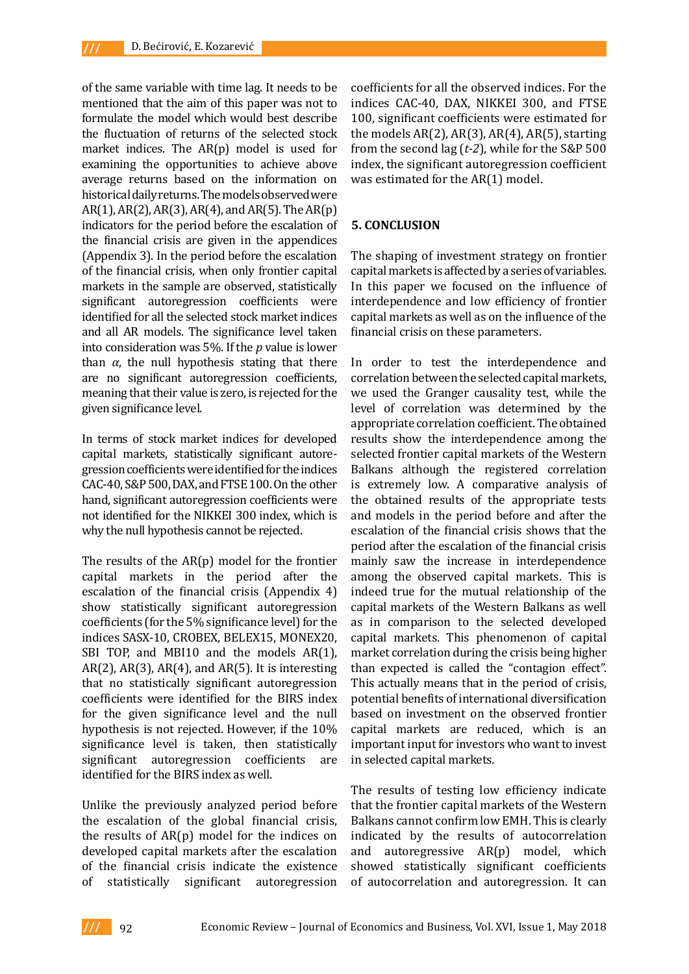of the same variable with time lag. It needs to be mentioned that the aim of this paper was not to formulate the model which would best describe the fluctuation of returns of the selected stock market indices. The AR(p) model is used for examining the opportunities to achieve above average returns based on the information on historical daily returns. The models observed were AR(1), AR(2), AR(3), AR(4), and AR(5). The AR(p) indicators for the period before the escalation of the financial crisis are given in the appendices (Appendix 3). In the period before the escalation of the financial crisis, when only frontier capital markets in the sample are observed, statistically significant autoregression coefficients were identified for all the selected stock market indices and all AR models. The significance level taken into consideration was 5%. If the *p* value is lower than  $α$ , the null hypothesis stating that there are no significant autoregression coefficients, meaning that their value is zero, is rejected for the given significance level.

In terms of stock market indices for developed capital markets, statistically significant autoregression coefficients were identified for the indices CAC-40, S&P 500, DAX, and FTSE 100. On the other hand, significant autoregression coefficients were not identified for the NIKKEI 300 index, which is why the null hypothesis cannot be rejected.

The results of the AR(p) model for the frontier capital markets in the period after the escalation of the financial crisis (Appendix 4) show statistically significant autoregression coefficients (for the 5% significance level) for the indices SASX-10, CROBEX, BELEX15, MONEX20, SBI TOP, and MBI10 and the models AR(1),  $AR(2)$ ,  $AR(3)$ ,  $AR(4)$ , and  $AR(5)$ . It is interesting that no statistically significant autoregression coefficients were identified for the BIRS index for the given significance level and the null hypothesis is not rejected. However, if the 10% significance level is taken, then statistically significant autoregression coefficients are identified for the BIRS index as well.

Unlike the previously analyzed period before the escalation of the global financial crisis, the results of AR(p) model for the indices on developed capital markets after the escalation of the financial crisis indicate the existence of statistically significant autoregression

coefficients for all the observed indices. For the indices CAC-40, DAX, NIKKEI 300, and FTSE 100, significant coefficients were estimated for the models  $AR(2)$ ,  $AR(3)$ ,  $AR(4)$ ,  $AR(5)$ , starting from the second lag (*t-2*), while for the S&P 500 index, the significant autoregression coefficient was estimated for the AR(1) model.

#### **5. CONCLUSION**

The shaping of investment strategy on frontier capital markets is affected by a series of variables. In this paper we focused on the influence of interdependence and low efficiency of frontier capital markets as well as on the influence of the financial crisis on these parameters.

In order to test the interdependence and correlation between the selected capital markets, we used the Granger causality test, while the level of correlation was determined by the appropriate correlation coefficient. The obtained results show the interdependence among the selected frontier capital markets of the Western Balkans although the registered correlation is extremely low. A comparative analysis of the obtained results of the appropriate tests and models in the period before and after the escalation of the financial crisis shows that the period after the escalation of the financial crisis mainly saw the increase in interdependence among the observed capital markets. This is indeed true for the mutual relationship of the capital markets of the Western Balkans as well as in comparison to the selected developed capital markets. This phenomenon of capital market correlation during the crisis being higher than expected is called the "contagion effect". This actually means that in the period of crisis, potential benefits of international diversification based on investment on the observed frontier capital markets are reduced, which is an important input for investors who want to invest in selected capital markets.

The results of testing low efficiency indicate that the frontier capital markets of the Western Balkans cannot confirm low EMH. This is clearly indicated by the results of autocorrelation and autoregressive AR(p) model, which showed statistically significant coefficients of autocorrelation and autoregression. It can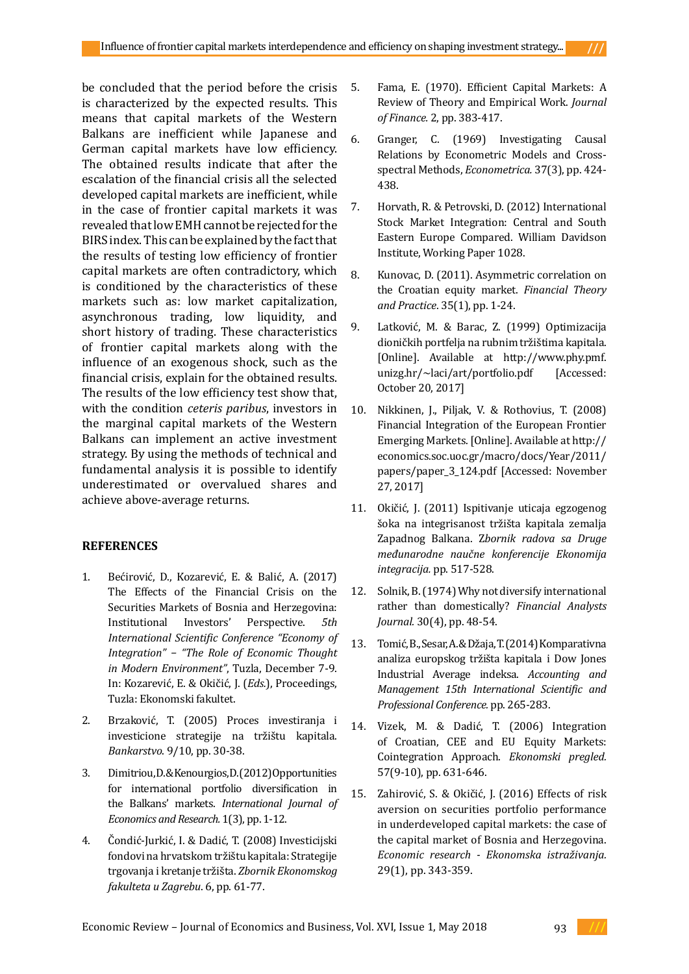be concluded that the period before the crisis is characterized by the expected results. This means that capital markets of the Western Balkans are inefficient while Japanese and German capital markets have low efficiency. The obtained results indicate that after the escalation of the financial crisis all the selected developed capital markets are inefficient, while in the case of frontier capital markets it was revealed that low EMH cannot be rejected for the BIRS index. This can be explained by the fact that the results of testing low efficiency of frontier capital markets are often contradictory, which is conditioned by the characteristics of these markets such as: low market capitalization, asynchronous trading, low liquidity, and short history of trading. These characteristics of frontier capital markets along with the influence of an exogenous shock, such as the financial crisis, explain for the obtained results. The results of the low efficiency test show that, with the condition *ceteris paribus*, investors in the marginal capital markets of the Western Balkans can implement an active investment strategy. By using the methods of technical and fundamental analysis it is possible to identify underestimated or overvalued shares and achieve above-average returns.

### **REFERENCES**

- 1. Bećirović, D., Kozarević, E. & Balić, A. (2017) The Effects of the Financial Crisis on the Securities Markets of Bosnia and Herzegovina: Institutional Investors' Perspective. *5th International Scientific Conference "Economy of Integration" − "The Role of Economic Thought in Modern Environment"*, Tuzla, December 7-9. In: Kozarević, E. & Okičić, J. (*Eds.*), Proceedings, Tuzla: Ekonomski fakultet.
- 2. Brzaković, T. (2005) Proces investiranja i investicione strategije na tržištu kapitala. *Bankarstvo*. 9/10, pp. 30-38.
- 3. Dimitriou, D. & Kenourgios, D. (2012) Opportunities for international portfolio diversification in the Balkans' markets. *International Journal of Economics and Research.* 1(3), pp. 1-12.
- 4. Čondić-Jurkić, I. & Dadić, T. (2008) Investicijski fondovi na hrvatskom tržištu kapitala: Strategije trgovanja i kretanje tržišta. *Zbornik Ekonomskog fakulteta u Zagrebu*. 6, pp. 61-77.
- 5. Fama, E. (1970). Efficient Capital Markets: A Review of Theory and Empirical Work. *Journal of Finance.* 2, pp. 383-417.
- 6. Granger, C. (1969) Investigating Causal Relations by Econometric Models and Crossspectral Methods, *Econometrica.* 37(3), pp. 424- 438.
- 7. Horvath, R. & Petrovski, D. (2012) International Stock Market Integration: Central and South Eastern Europe Compared. William Davidson Institute, Working Paper 1028.
- 8. Kunovac, D. (2011). Asymmetric correlation on the Croatian equity market. *Financial Theory and Practice*. 35(1), pp. 1-24.
- 9. Latković, M. & Barac, Z. (1999) Optimizacija dioničkih portfelja na rubnim tržištima kapitala. [Online]. Available at http://www.phy.pmf. unizg.hr/~laci/art/portfolio.pdf [Accessed: October 20, 2017]
- 10. Nikkinen, J., Piljak, V. & Rothovius, T. (2008) Financial Integration of the European Frontier Emerging Markets. [Online]. Available at http:// economics.soc.uoc.gr/macro/docs/Year/2011/ papers/paper\_3\_124.pdf [Accessed: November 27, 2017]
- 11. Okičić, J. (2011) Ispitivanje uticaja egzogenog šoka na integrisanost tržišta kapitala zemalja Zapadnog Balkana. Z*bornik radova sa Druge međunarodne naučne konferencije Ekonomija integracija.* pp. 517-528.
- 12. Solnik, B. (1974) Why not diversify international rather than domestically? *Financial Analysts Journal.* 30(4), pp. 48-54.
- 13. Tomić, B., Sesar, A. & Džaja, T. (2014) Komparativna analiza europskog tržišta kapitala i Dow Jones Industrial Average indeksa. *Accounting and Management 15th International Scientific and Professional Conference.* pp. 265-283.
- 14. Vizek, M. & Dadić, T. (2006) Integration of Croatian, CEE and EU Equity Markets: Cointegration Approach. *Ekonomski pregled.*  57(9-10), pp. 631-646.
- 15. Zahirović, S. & Okičić, J. (2016) Effects of risk aversion on securities portfolio performance in underdeveloped capital markets: the case of the capital market of Bosnia and Herzegovina. *Economic research - Ekonomska istraživanja.*  29(1), pp. 343-359.

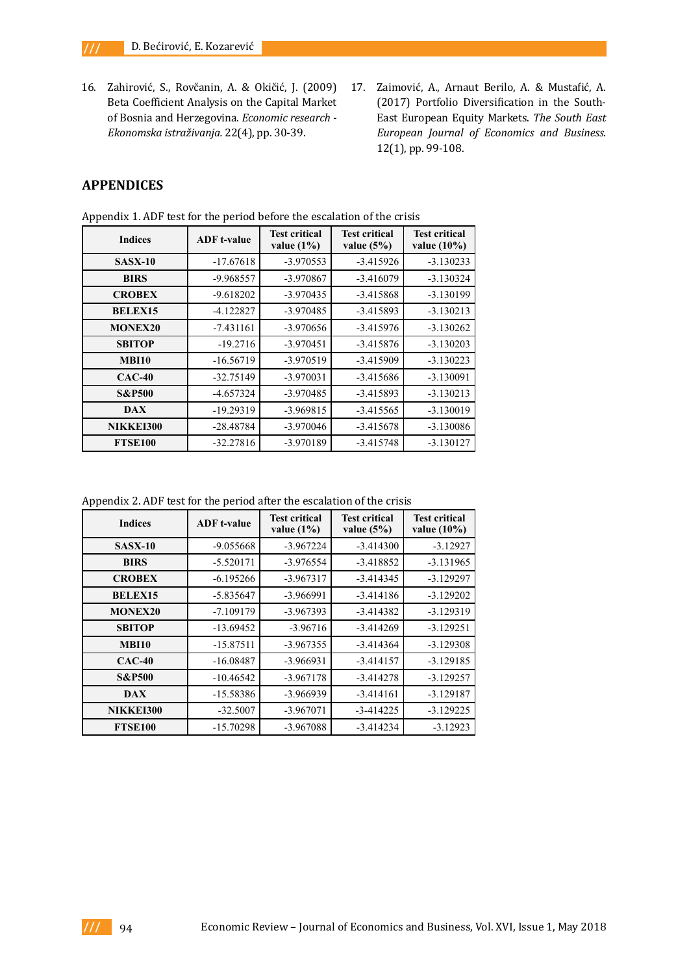- 16. Zahirović, S., Rovčanin, A. & Okičić, J. (2009) Beta Coefficient Analysis on the Capital Market of Bosnia and Herzegovina. *Economic research - Ekonomska istraživanja.* 22(4), pp. 30-39.
- 17. Zaimović, A., Arnaut Berilo, A. & Mustafić, A. (2017) Portfolio Diversification in the South-East European Equity Markets. *The South East European Journal of Economics and Business*. 12(1), pp. 99-108.

# **APPENDICES**

| <b>Indices</b>    | <b>ADF</b> t-value | <b>Test critical</b><br>value $(1\%)$ | <b>Test critical</b><br>value $(5\%)$ | <b>Test critical</b><br>value $(10\%)$ |  |  |
|-------------------|--------------------|---------------------------------------|---------------------------------------|----------------------------------------|--|--|
| <b>SASX-10</b>    | $-17.67618$        | $-3.970553$                           | $-3.415926$                           | $-3.130233$                            |  |  |
| <b>BIRS</b>       | -9.968557          | -3.970867                             | $-3.416079$                           | $-3.130324$                            |  |  |
| <b>CROBEX</b>     | $-9.618202$        | $-3.970435$                           | $-3.415868$                           | $-3.130199$                            |  |  |
| <b>BELEX15</b>    | $-4.122827$        | $-3.970485$                           | $-3.415893$                           | $-3.130213$                            |  |  |
| <b>MONEX20</b>    | $-7.431161$        | $-3.970656$                           | $-3.415976$                           | $-3.130262$                            |  |  |
| <b>SBITOP</b>     | $-19.2716$         | $-3.970451$                           | $-3.415876$                           | $-3.130203$                            |  |  |
| <b>MBI10</b>      | $-16.56719$        | $-3.970519$                           | $-3.415909$                           | $-3.130223$                            |  |  |
| $CAC-40$          | $-32.75149$        | $-3.970031$                           | $-3.415686$                           | $-3.130091$                            |  |  |
| <b>S&amp;P500</b> | $-4.657324$        | $-3.970485$                           | $-3.415893$                           | $-3.130213$                            |  |  |
| <b>DAX</b>        | $-19.29319$        | $-3.969815$                           | $-3.415565$                           | $-3.130019$                            |  |  |
| NIKKEI300         | $-28.48784$        | $-3.970046$                           | $-3.415678$                           | $-3.130086$                            |  |  |
| <b>FTSE100</b>    | $-32.27816$        | -3.970189                             | $-3.415748$                           | $-3.130127$                            |  |  |

Appendix 1. ADF test for the period before the escalation of the crisis

Appendix 2. ADF test for the period after the escalation of the crisis

| <b>Indices</b>    | <b>ADF</b> t-value | <b>Test critical</b><br>value $(1\%)$ | <b>Test critical</b><br>value $(5%)$ | <b>Test critical</b><br>value $(10\%)$ |  |  |
|-------------------|--------------------|---------------------------------------|--------------------------------------|----------------------------------------|--|--|
| <b>SASX-10</b>    | $-9.055668$        | $-3.967224$                           | $-3.414300$                          | $-3.12927$                             |  |  |
| <b>BIRS</b>       | $-5.520171$        | $-3.976554$                           | $-3.418852$                          | $-3.131965$                            |  |  |
| <b>CROBEX</b>     | $-6.195266$        | $-3.967317$                           | $-3.414345$                          | $-3.129297$                            |  |  |
| <b>BELEX15</b>    | $-5.835647$        | $-3.966991$                           | $-3.414186$                          | $-3.129202$                            |  |  |
| <b>MONEX20</b>    | $-7.109179$        | $-3.967393$                           | $-3.414382$                          | $-3.129319$                            |  |  |
| <b>SBITOP</b>     | $-13.69452$        | $-3.96716$                            | $-3.414269$                          | $-3.129251$                            |  |  |
| <b>MBI10</b>      | $-15.87511$        | $-3.967355$                           | $-3.414364$                          | $-3.129308$                            |  |  |
| $CAC-40$          | $-16.08487$        | $-3.966931$                           | $-3.414157$                          | $-3.129185$                            |  |  |
| <b>S&amp;P500</b> | $-10.46542$        | $-3.967178$                           | $-3.414278$                          | $-3.129257$                            |  |  |
| <b>DAX</b>        | -15.58386          | -3.966939                             | $-3.414161$                          | $-3.129187$                            |  |  |
| NIKKEI300         | $-32.5007$         | $-3.967071$                           | $-3 - 414225$                        | $-3.129225$                            |  |  |
| <b>FTSE100</b>    | $-15.70298$        | -3.967088                             | $-3.414234$                          | $-3.12923$                             |  |  |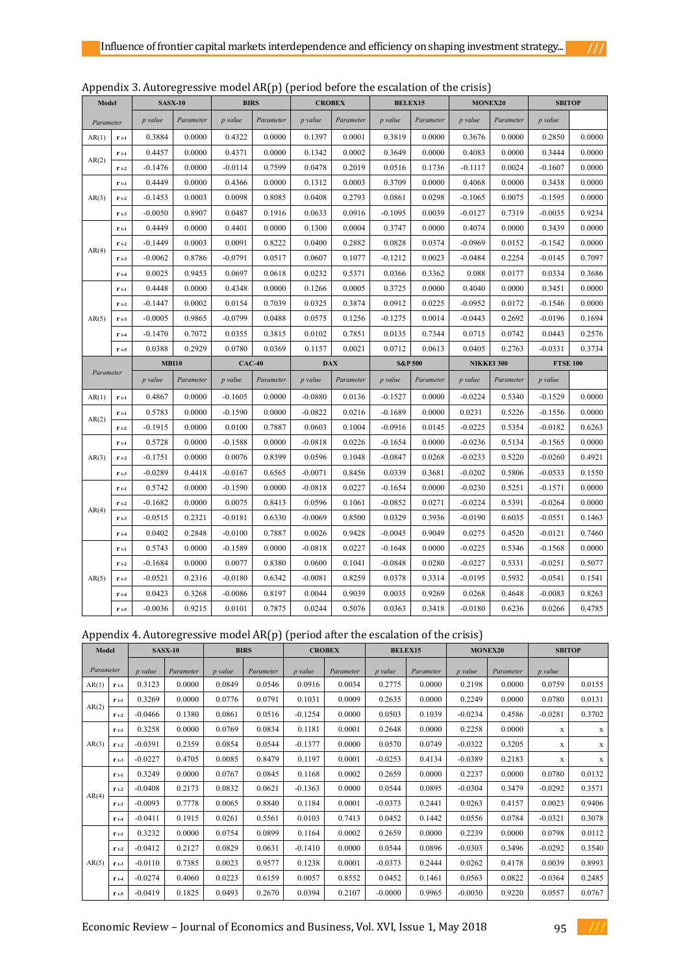| 7 |  |  |
|---|--|--|

|  | Appendix 3. Autoregressive model AR(p) (period before the escalation of the crisis) |  |  |  |  |
|--|-------------------------------------------------------------------------------------|--|--|--|--|
|--|-------------------------------------------------------------------------------------|--|--|--|--|

| Model     |                  | <b>SASX-10</b> |           | <b>BIRS</b> |           | <b>CROBEX</b> |           | <b>BELEX15</b>     |           | MONEX20           |           | <b>SBITOP</b>   |        |
|-----------|------------------|----------------|-----------|-------------|-----------|---------------|-----------|--------------------|-----------|-------------------|-----------|-----------------|--------|
| Parameter |                  | p value        | Parameter | p value     | Parameter | p value       | Parameter | p value            | Parameter | p value           | Parameter | p value         |        |
| AR(1)     | $r_{t-1}$        | 0.3884         | 0.0000    | 0.4322      | 0.0000    | 0.1397        | 0.0001    | 0.3819             | 0.0000    | 0.3676            | 0.0000    | 0.2850          | 0.0000 |
|           | $r_{t-1}$        | 0.4457         | 0.0000    | 0.4371      | 0.0000    | 0.1342        | 0.0002    | 0.3649             | 0.0000    | 0.4083            | 0.0000    | 0.3444          | 0.0000 |
| AR(2)     | $r_{t-2}$        | $-0.1476$      | 0.0000    | $-0.0114$   | 0.7599    | 0.0478        | 0.2019    | 0.0516             | 0.1736    | $-0.1117$         | 0.0024    | $-0.1607$       | 0.0000 |
|           | $r_{t-1}$        | 0.4449         | 0.0000    | 0.4366      | 0.0000    | 0.1312        | 0.0003    | 0.3709             | 0.0000    | 0.4068            | 0.0000    | 0.3438          | 0.0000 |
| AR(3)     | $r_{t-2}$        | $-0.1453$      | 0.0003    | 0.0098      | 0.8085    | 0.0408        | 0.2793    | 0.0861             | 0.0298    | $-0.1065$         | 0.0075    | $-0.1595$       | 0.0000 |
|           | $r_{t-3}$        | $-0.0050$      | 0.8907    | 0.0487      | 0.1916    | 0.0633        | 0.0916    | $-0.1095$          | 0.0039    | $-0.0127$         | 0.7319    | $-0.0035$       | 0.9234 |
|           | $r_{t-1}$        | 0.4449         | 0.0000    | 0.4401      | 0.0000    | 0.1300        | 0.0004    | 0.3747             | 0.0000    | 0.4074            | 0.0000    | 0.3439          | 0.0000 |
|           | $r_{t-2}$        | $-0.1449$      | 0.0003    | 0.0091      | 0.8222    | 0.0400        | 0.2882    | 0.0828             | 0.0374    | $-0.0969$         | 0.0152    | $-0.1542$       | 0.0000 |
| AR(4)     | $r_{t-3}$        | $-0.0062$      | 0.8786    | $-0.0791$   | 0.0517    | 0.0607        | 0.1077    | $-0.1212$          | 0.0023    | $-0.0484$         | 0.2254    | $-0.0145$       | 0.7097 |
|           | $r_{t-4}$        | 0.0025         | 0.9453    | 0.0697      | 0.0618    | 0.0232        | 0.5371    | 0.0366             | 0.3362    | 0.088             | 0.0177    | 0.0334          | 0.3686 |
|           | $r_{t-1}$        | 0.4448         | 0.0000    | 0.4348      | 0.0000    | 0.1266        | 0.0005    | 0.3725             | 0.0000    | 0.4040            | 0.0000    | 0.3451          | 0.0000 |
|           | $r_{t-2}$        | $-0.1447$      | 0.0002    | 0.0154      | 0.7039    | 0.0325        | 0.3874    | 0.0912             | 0.0225    | $-0.0952$         | 0.0172    | $-0.1546$       | 0.0000 |
| AR(5)     | $r_{t-3}$        | $-0.0005$      | 0.9865    | $-0.0799$   | 0.0488    | 0.0575        | 0.1256    | $-0.1275$          | 0.0014    | $-0.0443$         | 0.2692    | $-0.0196$       | 0.1694 |
|           | $r_{t-4}$        | $-0.1470$      | 0.7072    | 0.0355      | 0.3815    | 0.0102        | 0.7851    | 0.0135             | 0.7344    | 0.0715            | 0.0742    | 0.0443          | 0.2576 |
|           | $r_{t-5}$        | 0.0388         | 0.2929    | 0.0780      | 0.0369    | 0.1157        | 0.0021    | 0.0712             | 0.0613    | 0.0405            | 0.2763    | $-0.0331$       | 0.3734 |
| Parameter |                  | <b>MBI10</b>   |           | $CAC-40$    |           | <b>DAX</b>    |           | <b>S&amp;P 500</b> |           | <b>NIKKEI 300</b> |           | <b>FTSE 100</b> |        |
|           |                  | p value        | Parameter | p value     | Parameter | p value       | Parameter | p value            | Parameter | p value           | Parameter | p value         |        |
| AR(1)     | $r_{t-1}$        | 0.4867         | 0.0000    | $-0.1605$   | 0.0000    | $-0.0880$     | 0.0136    | $-0.1527$          | 0.0000    | $-0.0224$         | 0.5340    | $-0.1529$       | 0.0000 |
|           | $r_{t-1}$        | 0.5783         | 0.0000    | $-0.1590$   | 0.0000    | $-0.0822$     | 0.0216    | $-0.1689$          | 0.0000    | 0.0231            | 0.5226    | $-0.1556$       | 0.0000 |
| AR(2)     | $r_{t-2}$        | $-0.1915$      | 0.0000    | 0.0100      | 0.7887    | 0.0603        | 0.1004    | $-0.0916$          | 0.0145    | $-0.0225$         | 0.5354    | $-0.0182$       | 0.6263 |
|           | $r_{t-1}$        | 0.5728         | 0.0000    | $-0.1588$   | 0.0000    | $-0.0818$     | 0.0226    | $-0.1654$          | 0.0000    | $-0.0236$         | 0.5134    | $-0.1565$       | 0.0000 |
| AR(3)     | $r_{t-2}$        | $-0.1751$      | 0.0000    | 0.0076      | 0.8399    | 0.0596        | 0.1048    | $-0.0847$          | 0.0268    | $-0.0233$         | 0.5220    | $-0.0260$       | 0.4921 |
|           | $r_{t-3}$        | $-0.0289$      | 0.4418    | $-0.0167$   | 0.6565    | $-0.0071$     | 0.8456    | 0.0339             | 0.3681    | $-0.0202$         | 0.5806    | $-0.0533$       | 0.1550 |
|           | $r_{t-1}$        | 0.5742         | 0.0000    | $-0.1590$   | 0.0000    | $-0.0818$     | 0.0227    | $-0.1654$          | 0.0000    | $-0.0230$         | 0.5251    | $-0.1571$       | 0.0000 |
|           | $\mathbf{r}$ t-2 | $-0.1682$      | 0.0000    | 0.0075      | 0.8413    | 0.0596        | 0.1061    | $-0.0852$          | 0.0271    | $-0.0224$         | 0.5391    | $-0.0264$       | 0.0000 |
| AR(4)     | $r_{t-3}$        | $-0.0515$      | 0.2321    | $-0.0181$   | 0.6330    | $-0.0069$     | 0.8500    | 0.0329             | 0.3936    | $-0.0190$         | 0.6035    | $-0.0551$       | 0.1463 |
|           | $\mathbf{r}$ t-4 | 0.0402         | 0.2848    | $-0.0100$   | 0.7887    | 0.0026        | 0.9428    | $-0.0045$          | 0.9049    | 0.0275            | 0.4520    | $-0.0121$       | 0.7460 |
|           | $r_{t-1}$        | 0.5743         | 0.0000    | $-0.1589$   | 0.0000    | $-0.0818$     | 0.0227    | $-0.1648$          | 0.0000    | $-0.0225$         | 0.5346    | $-0.1568$       | 0.0000 |
|           | $r_{t-2}$        | $-0.1684$      | 0.0000    | 0.0077      | 0.8380    | 0.0600        | 0.1041    | $-0.0848$          | 0.0280    | $-0.0227$         | 0.5331    | $-0.0251$       | 0.5077 |
| AR(5)     | $r_{t-3}$        | $-0.0521$      | 0.2316    | $-0.0180$   | 0.6342    | $-0.0081$     | 0.8259    | 0.0378             | 0.3314    | $-0.0195$         | 0.5932    | $-0.0541$       | 0.1541 |
|           | $r_{t-4}$        | 0.0423         | 0.3268    | $-0.0086$   | 0.8197    | 0.0044        | 0.9039    | 0.0035             | 0.9269    | 0.0268            | 0.4648    | $-0.0083$       | 0.8263 |
|           | $r_{t-5}$        | $-0.0036$      | 0.9215    | 0.0101      | 0.7875    | 0.0244        | 0.5076    | 0.0363             | 0.3418    | $-0.0180$         | 0.6236    | 0.0266          | 0.4785 |

| Appendix 4. Autoregressive model AR(p) (period after the escalation of the crisis) |  |
|------------------------------------------------------------------------------------|--|
|------------------------------------------------------------------------------------|--|

| <b>Model</b> |           | <b>SASX-10</b> |           | <b>BIRS</b> |           | <b>CROBEX</b> |           | <b>BELEX15</b> |           | <b>MONEX20</b> |           | <b>SBITOP</b> |        |
|--------------|-----------|----------------|-----------|-------------|-----------|---------------|-----------|----------------|-----------|----------------|-----------|---------------|--------|
| Parameter    |           | p value        | Parameter | p value     | Parameter | p value       | Parameter | p value        | Parameter | p value        | Parameter | p value       |        |
| AR(1)        | $r_{t-1}$ | 0.3123         | 0.0000    | 0.0849      | 0.0546    | 0.0916        | 0.0034    | 0.2775         | 0.0000    | 0.2198         | 0.0000    | 0.0759        | 0.0155 |
|              | $r_{t-1}$ | 0.3269         | 0.0000    | 0.0776      | 0.0791    | 0.1031        | 0.0009    | 0.2635         | 0.0000    | 0.2249         | 0.0000    | 0.0780        | 0.0131 |
| AR(2)        | $r_{t-2}$ | $-0.0466$      | 0.1380    | 0.0861      | 0.0516    | $-0.1254$     | 0.0000    | 0.0503         | 0.1039    | $-0.0234$      | 0.4586    | $-0.0281$     | 0.3702 |
|              | $r_{t-1}$ | 0.3258         | 0.0000    | 0.0769      | 0.0834    | 0.1181        | 0.0001    | 0.2648         | 0.0000    | 0.2258         | 0.0000    | X             | X      |
| AR(3)        | $r_{t-2}$ | $-0.0391$      | 0.2359    | 0.0854      | 0.0544    | $-0.1377$     | 0.0000    | 0.0570         | 0.0749    | $-0.0322$      | 0.3205    | X             | X      |
|              | $r_{t-3}$ | $-0.0227$      | 0.4705    | 0.0085      | 0.8479    | 0.1197        | 0.0001    | $-0.0253$      | 0.4134    | $-0.0389$      | 0.2183    | X             | X      |
|              | $r_{t-1}$ | 0.3249         | 0.0000    | 0.0767      | 0.0845    | 0.1168        | 0.0002    | 0.2659         | 0.0000    | 0.2237         | 0.0000    | 0.0780        | 0.0132 |
|              | $r_{t-2}$ | $-0.0408$      | 0.2173    | 0.0832      | 0.0621    | $-0.1363$     | 0.0000    | 0.0544         | 0.0895    | $-0.0304$      | 0.3479    | $-0.0292$     | 0.3571 |
| AR(4)        | $r_{t-3}$ | $-0.0093$      | 0.7778    | 0.0065      | 0.8840    | 0.1184        | 0.0001    | $-0.0373$      | 0.2441    | 0.0263         | 0.4157    | 0.0023        | 0.9406 |
|              | $r_{t-4}$ | $-0.0411$      | 0.1915    | 0.0261      | 0.5561    | 0.0103        | 0.7413    | 0.0452         | 0.1442    | 0.0556         | 0.0784    | $-0.0321$     | 0.3078 |
|              | $r_{t-1}$ | 0.3232         | 0.0000    | 0.0754      | 0.0899    | 0.1164        | 0.0002    | 0.2659         | 0.0000    | 0.2239         | 0.0000    | 0.0798        | 0.0112 |
|              | $r_{t-2}$ | $-0.0412$      | 0.2127    | 0.0829      | 0.0631    | $-0.1410$     | 0.0000    | 0.0544         | 0.0896    | $-0.0303$      | 0.3496    | $-0.0292$     | 0.3540 |
| AR(5)        | $r_{t-3}$ | $-0.0110$      | 0.7385    | 0.0023      | 0.9577    | 0.1238        | 0.0001    | $-0.0373$      | 0.2444    | 0.0262         | 0.4178    | 0.0039        | 0.8993 |
|              | $r_{t-4}$ | $-0.0274$      | 0.4060    | 0.0223      | 0.6159    | 0.0057        | 0.8552    | 0.0452         | 0.1461    | 0.0563         | 0.0822    | $-0.0364$     | 0.2485 |
|              | $r_{t-5}$ | $-0.0419$      | 0.1825    | 0.0493      | 0.2670    | 0.0394        | 0.2107    | $-0.0000$      | 0.9965    | $-0.0030$      | 0.9220    | 0.0557        | 0.0767 |